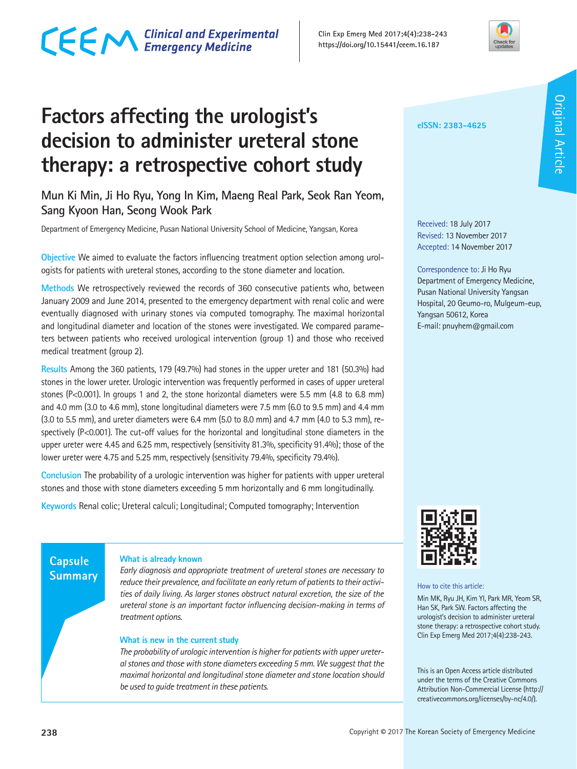# CECM Clinical and Experimental

**Factors affecting the urologist's decision to administer ureteral stone therapy: a retrospective cohort study**

**Mun Ki Min, Ji Ho Ryu, Yong In Kim, Maeng Real Park, Seok Ran Yeom, Sang Kyoon Han, Seong Wook Park**

Department of Emergency Medicine, Pusan National University School of Medicine, Yangsan, Korea

**Objective** We aimed to evaluate the factors influencing treatment option selection among urologists for patients with ureteral stones, according to the stone diameter and location.

**Methods** We retrospectively reviewed the records of 360 consecutive patients who, between January 2009 and June 2014, presented to the emergency department with renal colic and were eventually diagnosed with urinary stones via computed tomography. The maximal horizontal and longitudinal diameter and location of the stones were investigated. We compared parameters between patients who received urological intervention (group 1) and those who received medical treatment (group 2).

**Results** Among the 360 patients, 179 (49.7%) had stones in the upper ureter and 181 (50.3%) had stones in the lower ureter. Urologic intervention was frequently performed in cases of upper ureteral stones (P<0.001). In groups 1 and 2, the stone horizontal diameters were 5.5 mm (4.8 to 6.8 mm) and 4.0 mm (3.0 to 4.6 mm), stone longitudinal diameters were 7.5 mm (6.0 to 9.5 mm) and 4.4 mm (3.0 to 5.5 mm), and ureter diameters were 6.4 mm (5.0 to 8.0 mm) and 4.7 mm (4.0 to 5.3 mm), respectively (P<0.001). The cut-off values for the horizontal and longitudinal stone diameters in the upper ureter were 4.45 and 6.25 mm, respectively (sensitivity 81.3%, specificity 91.4%); those of the lower ureter were 4.75 and 5.25 mm, respectively (sensitivity 79.4%, specificity 79.4%).

**Conclusion** The probability of a urologic intervention was higher for patients with upper ureteral stones and those with stone diameters exceeding 5 mm horizontally and 6 mm longitudinally.

**Keywords** Renal colic; Ureteral calculi; Longitudinal; Computed tomography; Intervention

### **Capsule Summary**

### **What is already known**

*Early diagnosis and appropriate treatment of ureteral stones are necessary to reduce their prevalence, and facilitate an early return of patients to their activities of daily living. As larger stones obstruct natural excretion, the size of the ureteral stone is an important factor influencing decision-making in terms of treatment options.* 

### **What is new in the current study**

*The probability of urologic intervention is higher for patients with upper ureteral stones and those with stone diameters exceeding 5 mm. We suggest that the maximal horizontal and longitudinal stone diameter and stone location should be used to guide treatment in these patients.*



Received: 18 July 2017 Revised: 13 November 2017 Accepted: 14 November 2017

Correspondence to: Ji Ho Ryu Department of Emergency Medicine, Pusan National University Yangsan Hospital, 20 Geumo-ro, Mulgeum-eup, Yangsan 50612, Korea E-mail: pnuyhem@gmail.com



How to cite this article:

Min MK, Ryu JH, Kim YI, Park MR, Yeom SR, Han SK, Park SW. Factors affecting the urologist's decision to administer ureteral stone therapy: a retrospective cohort study. Clin Exp Emerg Med 2017;4(4):238-243.

This is an Open Access article distributed under the terms of the Creative Commons Attribution Non-Commercial License (http:// creativecommons.org/licenses/by-nc/4.0/).

#### **Clin Exp Emerg Med 2017;4(4):238-243 https://doi.org/10.15441/ceem.16.187**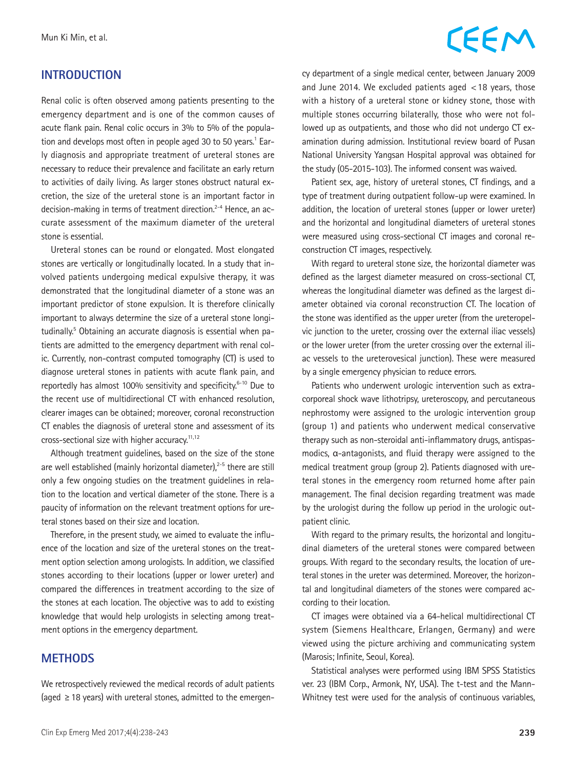### **INTRODUCTION**

Renal colic is often observed among patients presenting to the emergency department and is one of the common causes of acute flank pain. Renal colic occurs in 3% to 5% of the population and develops most often in people aged 30 to 50 years.<sup>1</sup> Early diagnosis and appropriate treatment of ureteral stones are necessary to reduce their prevalence and facilitate an early return to activities of daily living. As larger stones obstruct natural excretion, the size of the ureteral stone is an important factor in decision-making in terms of treatment direction.2-4 Hence, an accurate assessment of the maximum diameter of the ureteral stone is essential.

Ureteral stones can be round or elongated. Most elongated stones are vertically or longitudinally located. In a study that involved patients undergoing medical expulsive therapy, it was demonstrated that the longitudinal diameter of a stone was an important predictor of stone expulsion. It is therefore clinically important to always determine the size of a ureteral stone longitudinally.<sup>5</sup> Obtaining an accurate diagnosis is essential when patients are admitted to the emergency department with renal colic. Currently, non-contrast computed tomography (CT) is used to diagnose ureteral stones in patients with acute flank pain, and reportedly has almost 100% sensitivity and specificity.<sup>6-10</sup> Due to the recent use of multidirectional CT with enhanced resolution, clearer images can be obtained; moreover, coronal reconstruction CT enables the diagnosis of ureteral stone and assessment of its cross-sectional size with higher accuracy.11,12

Although treatment guidelines, based on the size of the stone are well established (mainly horizontal diameter) $i^{2-5}$  there are still only a few ongoing studies on the treatment guidelines in relation to the location and vertical diameter of the stone. There is a paucity of information on the relevant treatment options for ureteral stones based on their size and location.

Therefore, in the present study, we aimed to evaluate the influence of the location and size of the ureteral stones on the treatment option selection among urologists. In addition, we classified stones according to their locations (upper or lower ureter) and compared the differences in treatment according to the size of the stones at each location. The objective was to add to existing knowledge that would help urologists in selecting among treatment options in the emergency department.

### **METHODS**

We retrospectively reviewed the medical records of adult patients (aged  $\geq$  18 years) with ureteral stones, admitted to the emergen-

## CEEM

cy department of a single medical center, between January 2009 and June 2014. We excluded patients aged <18 years, those with a history of a ureteral stone or kidney stone, those with multiple stones occurring bilaterally, those who were not followed up as outpatients, and those who did not undergo CT examination during admission. Institutional review board of Pusan National University Yangsan Hospital approval was obtained for the study (05-2015-103). The informed consent was waived.

Patient sex, age, history of ureteral stones, CT findings, and a type of treatment during outpatient follow-up were examined. In addition, the location of ureteral stones (upper or lower ureter) and the horizontal and longitudinal diameters of ureteral stones were measured using cross-sectional CT images and coronal reconstruction CT images, respectively.

With regard to ureteral stone size, the horizontal diameter was defined as the largest diameter measured on cross-sectional CT, whereas the longitudinal diameter was defined as the largest diameter obtained via coronal reconstruction CT. The location of the stone was identified as the upper ureter (from the ureteropelvic junction to the ureter, crossing over the external iliac vessels) or the lower ureter (from the ureter crossing over the external iliac vessels to the ureterovesical junction). These were measured by a single emergency physician to reduce errors.

Patients who underwent urologic intervention such as extracorporeal shock wave lithotripsy, ureteroscopy, and percutaneous nephrostomy were assigned to the urologic intervention group (group 1) and patients who underwent medical conservative therapy such as non-steroidal anti-inflammatory drugs, antispasmodics, α-antagonists, and fluid therapy were assigned to the medical treatment group (group 2). Patients diagnosed with ureteral stones in the emergency room returned home after pain management. The final decision regarding treatment was made by the urologist during the follow up period in the urologic outpatient clinic.

With regard to the primary results, the horizontal and longitudinal diameters of the ureteral stones were compared between groups. With regard to the secondary results, the location of ureteral stones in the ureter was determined. Moreover, the horizontal and longitudinal diameters of the stones were compared according to their location.

CT images were obtained via a 64-helical multidirectional CT system (Siemens Healthcare, Erlangen, Germany) and were viewed using the picture archiving and communicating system (Marosis; Infinite, Seoul, Korea).

Statistical analyses were performed using IBM SPSS Statistics ver. 23 (IBM Corp., Armonk, NY, USA). The t-test and the Mann-Whitney test were used for the analysis of continuous variables,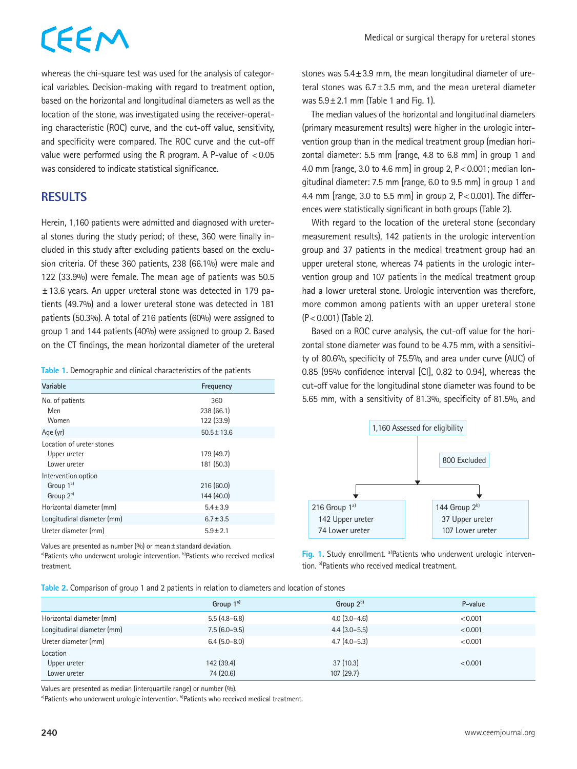# CEEM

stones was 5.4±3.9 mm, the mean longitudinal diameter of ureteral stones was 6.7±3.5 mm, and the mean ureteral diameter

The median values of the horizontal and longitudinal diameters (primary measurement results) were higher in the urologic intervention group than in the medical treatment group (median horizontal diameter: 5.5 mm [range, 4.8 to 6.8 mm] in group 1 and 4.0 mm [range, 3.0 to 4.6 mm] in group 2, P<0.001; median longitudinal diameter: 7.5 mm [range, 6.0 to 9.5 mm] in group 1 and 4.4 mm [range, 3.0 to 5.5 mm] in group 2, P<0.001). The differences were statistically significant in both groups (Table 2).

was  $5.9 \pm 2.1$  mm (Table 1 and Fig. 1).

whereas the chi-square test was used for the analysis of categorical variables. Decision-making with regard to treatment option, based on the horizontal and longitudinal diameters as well as the location of the stone, was investigated using the receiver-operating characteristic (ROC) curve, and the cut-off value, sensitivity, and specificity were compared. The ROC curve and the cut-off value were performed using the R program. A P-value of  $< 0.05$ was considered to indicate statistical significance.

## **RESULTS**

Herein, 1,160 patients were admitted and diagnosed with ureteral stones during the study period; of these, 360 were finally included in this study after excluding patients based on the exclusion criteria. Of these 360 patients, 238 (66.1%) were male and 122 (33.9%) were female. The mean age of patients was 50.5 ±13.6 years. An upper ureteral stone was detected in 179 patients (49.7%) and a lower ureteral stone was detected in 181 patients (50.3%). A total of 216 patients (60%) were assigned to group 1 and 144 patients (40%) were assigned to group 2. Based on the CT findings, the mean horizontal diameter of the ureteral

| Table 1. Demographic and clinical characteristics of the patients |  |  |  |
|-------------------------------------------------------------------|--|--|--|
|-------------------------------------------------------------------|--|--|--|

| Variable                                                  | Frequency                       |
|-----------------------------------------------------------|---------------------------------|
| No. of patients<br>Men<br>Women                           | 360<br>238 (66.1)<br>122 (33.9) |
| Age (yr)                                                  | $50.5 \pm 13.6$                 |
| Location of ureter stones<br>Upper ureter<br>Lower ureter | 179 (49.7)<br>181 (50.3)        |
| Intervention option<br>Group 1 <sup>a)</sup><br>Group 2b) | 216(60.0)<br>144 (40.0)         |
| Horizontal diameter (mm)                                  | $5.4 \pm 3.9$                   |
| Longitudinal diameter (mm)                                | $6.7 \pm 3.5$                   |
| Ureter diameter (mm)                                      | $5.9 \pm 2.1$                   |

Values are presented as number (%) or mean±standard deviation.<br><sup>a)</sup>Patients who underwent urologic intervention. <sup>b</sup>)Patients who received medical treatment.

group and 37 patients in the medical treatment group had an upper ureteral stone, whereas 74 patients in the urologic inter-

vention group and 107 patients in the medical treatment group had a lower ureteral stone. Urologic intervention was therefore, more common among patients with an upper ureteral stone (P<0.001) (Table 2).

With regard to the location of the ureteral stone (secondary measurement results), 142 patients in the urologic intervention

Based on a ROC curve analysis, the cut-off value for the horizontal stone diameter was found to be 4.75 mm, with a sensitivity of 80.6%, specificity of 75.5%, and area under curve (AUC) of 0.85 (95% confidence interval [CI], 0.82 to 0.94), whereas the cut-off value for the longitudinal stone diameter was found to be 5.65 mm, with a sensitivity of 81.3%, specificity of 81.5%, and



**Fig. 1.** Study enrollment. <sup>a)</sup>Patients who underwent urologic intervention. b)Patients who received medical treatment.

**Table 2.** Comparison of group 1 and 2 patients in relation to diameters and location of stones

|                            | Group $1^{\text{a}}$ | Group $2^{b}$  | P-value |
|----------------------------|----------------------|----------------|---------|
| Horizontal diameter (mm)   | $5.5(4.8-6.8)$       | $4.0(3.0-4.6)$ | < 0.001 |
| Longitudinal diameter (mm) | $7.5(6.0-9.5)$       | $4.4(3.0-5.5)$ | < 0.001 |
| Ureter diameter (mm)       | $6.4(5.0-8.0)$       | $4.7(4.0-5.3)$ | < 0.001 |
| Location                   |                      |                |         |
| Upper ureter               | 142 (39.4)           | 37(10.3)       | < 0.001 |
| Lower ureter               | 74 (20.6)            | 107(29.7)      |         |

Values are presented as median (interquartile range) or number (%).

a)Patients who underwent urologic intervention. b)Patients who received medical treatment.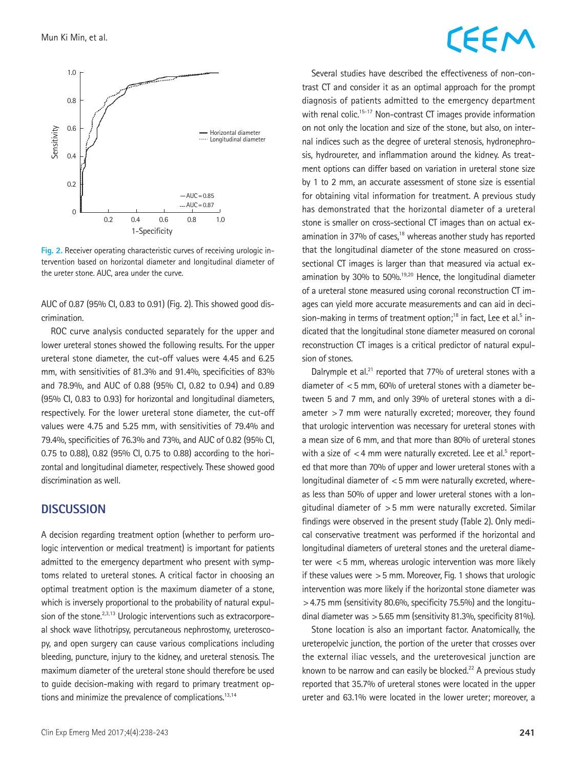

**Fig. 2.** Receiver operating characteristic curves of receiving urologic intervention based on horizontal diameter and longitudinal diameter of the ureter stone. AUC, area under the curve.

AUC of 0.87 (95% CI, 0.83 to 0.91) (Fig. 2). This showed good discrimination.

ROC curve analysis conducted separately for the upper and lower ureteral stones showed the following results. For the upper ureteral stone diameter, the cut-off values were 4.45 and 6.25 mm, with sensitivities of 81.3% and 91.4%, specificities of 83% and 78.9%, and AUC of 0.88 (95% CI, 0.82 to 0.94) and 0.89 (95% CI, 0.83 to 0.93) for horizontal and longitudinal diameters, respectively. For the lower ureteral stone diameter, the cut-off values were 4.75 and 5.25 mm, with sensitivities of 79.4% and 79.4%, specificities of 76.3% and 73%, and AUC of 0.82 (95% CI, 0.75 to 0.88), 0.82 (95% CI, 0.75 to 0.88) according to the horizontal and longitudinal diameter, respectively. These showed good discrimination as well.

### **DISCUSSION**

A decision regarding treatment option (whether to perform urologic intervention or medical treatment) is important for patients admitted to the emergency department who present with symptoms related to ureteral stones. A critical factor in choosing an optimal treatment option is the maximum diameter of a stone, which is inversely proportional to the probability of natural expulsion of the stone.<sup>2,3,13</sup> Urologic interventions such as extracorporeal shock wave lithotripsy, percutaneous nephrostomy, ureteroscopy, and open surgery can cause various complications including bleeding, puncture, injury to the kidney, and ureteral stenosis. The maximum diameter of the ureteral stone should therefore be used to guide decision-making with regard to primary treatment options and minimize the prevalence of complications.<sup>13,14</sup>

## EEM

Several studies have described the effectiveness of non-contrast CT and consider it as an optimal approach for the prompt diagnosis of patients admitted to the emergency department with renal colic.<sup>15-17</sup> Non-contrast CT images provide information on not only the location and size of the stone, but also, on internal indices such as the degree of ureteral stenosis, hydronephrosis, hydroureter, and inflammation around the kidney. As treatment options can differ based on variation in ureteral stone size by 1 to 2 mm, an accurate assessment of stone size is essential for obtaining vital information for treatment. A previous study has demonstrated that the horizontal diameter of a ureteral stone is smaller on cross-sectional CT images than on actual examination in 37% of cases, $18$  whereas another study has reported that the longitudinal diameter of the stone measured on crosssectional CT images is larger than that measured via actual examination by 30% to 50%.<sup>19,20</sup> Hence, the longitudinal diameter of a ureteral stone measured using coronal reconstruction CT images can yield more accurate measurements and can aid in decision-making in terms of treatment option;<sup>18</sup> in fact, Lee et al.<sup>5</sup> indicated that the longitudinal stone diameter measured on coronal reconstruction CT images is a critical predictor of natural expulsion of stones.

Dalrymple et al.<sup>21</sup> reported that 77% of ureteral stones with a diameter of <5 mm, 60% of ureteral stones with a diameter between 5 and 7 mm, and only 39% of ureteral stones with a diameter >7 mm were naturally excreted; moreover, they found that urologic intervention was necessary for ureteral stones with a mean size of 6 mm, and that more than 80% of ureteral stones with a size of  $<$  4 mm were naturally excreted. Lee et al.<sup>5</sup> reported that more than 70% of upper and lower ureteral stones with a longitudinal diameter of <5 mm were naturally excreted, whereas less than 50% of upper and lower ureteral stones with a longitudinal diameter of >5 mm were naturally excreted. Similar findings were observed in the present study (Table 2). Only medical conservative treatment was performed if the horizontal and longitudinal diameters of ureteral stones and the ureteral diameter were <5 mm, whereas urologic intervention was more likely if these values were  $>5$  mm. Moreover, Fig. 1 shows that urologic intervention was more likely if the horizontal stone diameter was >4.75 mm (sensitivity 80.6%, specificity 75.5%) and the longitudinal diameter was >5.65 mm (sensitivity 81.3%, specificity 81%).

Stone location is also an important factor. Anatomically, the ureteropelvic junction, the portion of the ureter that crosses over the external iliac vessels, and the ureterovesical junction are known to be narrow and can easily be blocked.<sup>22</sup> A previous study reported that 35.7% of ureteral stones were located in the upper ureter and 63.1% were located in the lower ureter; moreover, a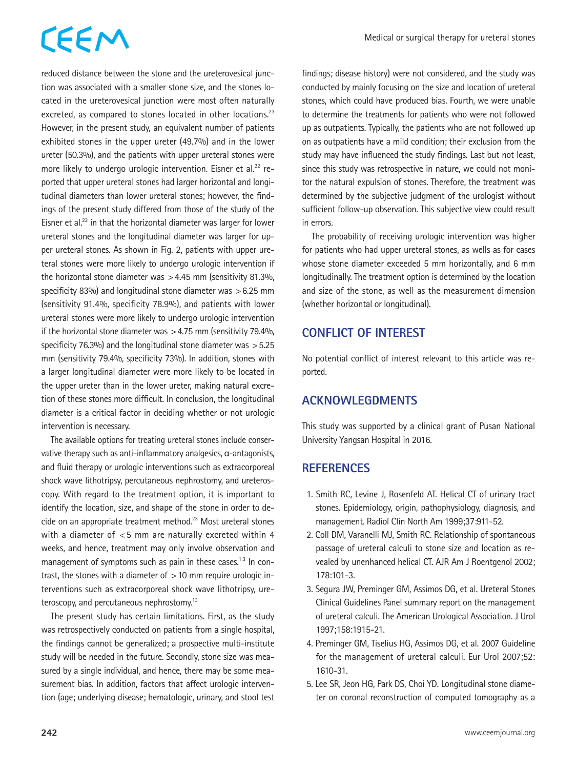# CEEM

reduced distance between the stone and the ureterovesical junction was associated with a smaller stone size, and the stones located in the ureterovesical junction were most often naturally excreted, as compared to stones located in other locations.<sup>23</sup> However, in the present study, an equivalent number of patients exhibited stones in the upper ureter (49.7%) and in the lower ureter (50.3%), and the patients with upper ureteral stones were more likely to undergo urologic intervention. Eisner et al.<sup>22</sup> reported that upper ureteral stones had larger horizontal and longitudinal diameters than lower ureteral stones; however, the findings of the present study differed from those of the study of the Eisner et al.<sup>22</sup> in that the horizontal diameter was larger for lower ureteral stones and the longitudinal diameter was larger for upper ureteral stones. As shown in Fig. 2, patients with upper ureteral stones were more likely to undergo urologic intervention if the horizontal stone diameter was  $>4.45$  mm (sensitivity 81.3%, specificity 83%) and longitudinal stone diameter was >6.25 mm (sensitivity 91.4%, specificity 78.9%), and patients with lower ureteral stones were more likely to undergo urologic intervention if the horizontal stone diameter was  $>4.75$  mm (sensitivity 79.4%, specificity 76.3%) and the longitudinal stone diameter was >5.25 mm (sensitivity 79.4%, specificity 73%). In addition, stones with a larger longitudinal diameter were more likely to be located in the upper ureter than in the lower ureter, making natural excretion of these stones more difficult. In conclusion, the longitudinal diameter is a critical factor in deciding whether or not urologic intervention is necessary.

The available options for treating ureteral stones include conservative therapy such as anti-inflammatory analgesics, α-antagonists, and fluid therapy or urologic interventions such as extracorporeal shock wave lithotripsy, percutaneous nephrostomy, and ureteroscopy. With regard to the treatment option, it is important to identify the location, size, and shape of the stone in order to decide on an appropriate treatment method.<sup>23</sup> Most ureteral stones with a diameter of <5 mm are naturally excreted within 4 weeks, and hence, treatment may only involve observation and management of symptoms such as pain in these cases.<sup>1,3</sup> In contrast, the stones with a diameter of  $>10$  mm require urologic interventions such as extracorporeal shock wave lithotripsy, ureteroscopy, and percutaneous nephrostomy.<sup>13</sup>

The present study has certain limitations. First, as the study was retrospectively conducted on patients from a single hospital, the findings cannot be generalized; a prospective multi-institute study will be needed in the future. Secondly, stone size was measured by a single individual, and hence, there may be some measurement bias. In addition, factors that affect urologic intervention (age; underlying disease; hematologic, urinary, and stool test findings; disease history) were not considered, and the study was conducted by mainly focusing on the size and location of ureteral stones, which could have produced bias. Fourth, we were unable to determine the treatments for patients who were not followed up as outpatients. Typically, the patients who are not followed up on as outpatients have a mild condition; their exclusion from the study may have influenced the study findings. Last but not least, since this study was retrospective in nature, we could not monitor the natural expulsion of stones. Therefore, the treatment was determined by the subjective judgment of the urologist without sufficient follow-up observation. This subjective view could result in errors.

The probability of receiving urologic intervention was higher for patients who had upper ureteral stones, as wells as for cases whose stone diameter exceeded 5 mm horizontally, and 6 mm longitudinally. The treatment option is determined by the location and size of the stone, as well as the measurement dimension (whether horizontal or longitudinal).

### **CONFLICT OF INTEREST**

No potential conflict of interest relevant to this article was reported.

### **ACKNOWLEGDMENTS**

This study was supported by a clinical grant of Pusan National University Yangsan Hospital in 2016.

### **REFERENCES**

- 1. Smith RC, Levine J, Rosenfeld AT. Helical CT of urinary tract stones. Epidemiology, origin, pathophysiology, diagnosis, and management. Radiol Clin North Am 1999;37:911-52.
- 2. Coll DM, Varanelli MJ, Smith RC. Relationship of spontaneous passage of ureteral calculi to stone size and location as revealed by unenhanced helical CT. AJR Am J Roentgenol 2002; 178:101-3.
- 3. Segura JW, Preminger GM, Assimos DG, et al. Ureteral Stones Clinical Guidelines Panel summary report on the management of ureteral calculi. The American Urological Association. J Urol 1997;158:1915-21.
- 4. Preminger GM, Tiselius HG, Assimos DG, et al. 2007 Guideline for the management of ureteral calculi. Eur Urol 2007;52: 1610-31.
- 5. Lee SR, Jeon HG, Park DS, Choi YD. Longitudinal stone diameter on coronal reconstruction of computed tomography as a